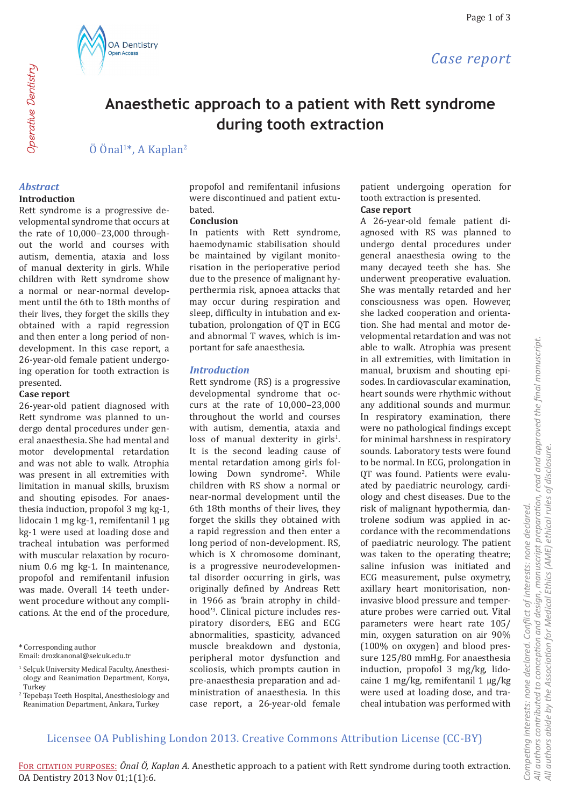*Case report*



# **Anaesthetic approach to a patient with Rett syndrome during tooth extraction**

Ö Önal1\*, A Kaplan2

### *Abstract*

#### **Introduction**

Rett syndrome is a progressive developmental syndrome that occurs at the rate of 10,000–23,000 throughout the world and courses with autism, dementia, ataxia and loss of manual dexterity in girls. While children with Rett syndrome show a normal or near-normal development until the 6th to 18th months of their lives, they forget the skills they obtained with a rapid regression and then enter a long period of nondevelopment. In this case report, a 26-year-old female patient undergoing operation for tooth extraction is presented.

#### **Case report**

26-year-old patient diagnosed with Rett syndrome was planned to undergo dental procedures under general anaesthesia. She had mental and motor developmental retardation and was not able to walk. Atrophia was present in all extremities with limitation in manual skills, bruxism and shouting episodes. For anaesthesia induction, propofol 3 mg kg-1, lidocain 1 mg kg-1, remifentanil 1 µg kg-1 were used at loading dose and tracheal intubation was performed with muscular relaxation by rocuronium 0.6 mg kg-1. In maintenance, propofol and remifentanil infusion was made. Overall 14 teeth underwent procedure without any complications. At the end of the procedure,

**\*** Corresponding author

propofol and remifentanil infusions were discontinued and patient extubated.

#### **Conclusion**

In patients with Rett syndrome, haemodynamic stabilisation should be maintained by vigilant monitorisation in the perioperative period due to the presence of malignant hyperthermia risk, apnoea attacks that may occur during respiration and sleep, difficulty in intubation and extubation, prolongation of QT in ECG and abnormal T waves, which is important for safe anaesthesia.

#### *Introduction*

Rett syndrome (RS) is a progressive developmental syndrome that occurs at the rate of 10,000–23,000 throughout the world and courses with autism, dementia, ataxia and loss of manual dexterity in girls<sup>1</sup>. It is the second leading cause of mental retardation among girls following Down syndrome<sup>2</sup>. While children with RS show a normal or near-normal development until the 6th 18th months of their lives, they forget the skills they obtained with a rapid regression and then enter a long period of non-development. RS, which is X chromosome dominant, is a progressive neurodevelopmental disorder occurring in girls, was originally defined by Andreas Rett in 1966 as 'brain atrophy in childhood'<sup>3</sup> . Clinical picture includes respiratory disorders, EEG and ECG abnormalities, spasticity, advanced muscle breakdown and dystonia, peripheral motor dysfunction and scoliosis, which prompts caution in pre-anaesthesia preparation and administration of anaesthesia. In this case report, a 26-year-old female patient undergoing operation for tooth extraction is presented.

### **Case report**

A 26-year-old female patient diagnosed with RS was planned to undergo dental procedures under general anaesthesia owing to the many decayed teeth she has. She underwent preoperative evaluation. She was mentally retarded and her consciousness was open. However, she lacked cooperation and orientation. She had mental and motor developmental retardation and was not able to walk. Atrophia was present in all extremities, with limitation in manual, bruxism and shouting episodes. In cardiovascular examination, heart sounds were rhythmic without any additional sounds and murmur. In respiratory examination, there were no pathological findings except for minimal harshness in respiratory sounds. Laboratory tests were found to be normal. In ECG, prolongation in QT was found. Patients were evaluated by paediatric neurology, cardiology and chest diseases. Due to the risk of malignant hypothermia, dantrolene sodium was applied in accordance with the recommendations of paediatric neurology. The patient was taken to the operating theatre; saline infusion was initiated and ECG measurement, pulse oxymetry, axillary heart monitorisation, noninvasive blood pressure and temperature probes were carried out. Vital parameters were heart rate 105/ min, oxygen saturation on air 90% (100% on oxygen) and blood pressure 125/80 mmHg. For anaesthesia induction, propofol 3 mg/kg, lidocaine 1 mg/kg, remifentanil 1 µg/kg were used at loading dose, and tracheal intubation was performed with

### Licensee OA Publishing London 2013. Creative Commons Attribution License (CC-BY)

### For citation purposes: *Önal Ö, Kaplan A.* Anesthetic approach to a patient with Rett syndrome during tooth extraction. OA Dentistry 2013 Nov 01;1(1):6.

Email: drozkanonal@selcuk.edu.tr

<sup>&</sup>lt;sup>1</sup> Selçuk University Medical Faculty, Anesthesiology and Reanimation Department, Konya, Turkey

<sup>2</sup> Tepebaşı Teeth Hospital, Anesthesiology and Reanimation Department, Ankara, Turkey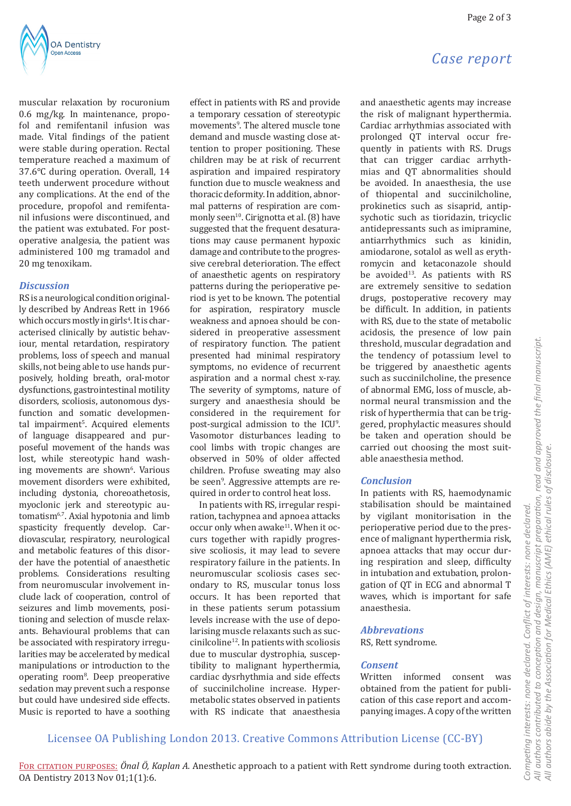

muscular relaxation by rocuronium 0.6 mg/kg. In maintenance, propofol and remifentanil infusion was made. Vital findings of the patient were stable during operation. Rectal temperature reached a maximum of 37.6°C during operation. Overall, 14 teeth underwent procedure without any complications. At the end of the procedure, propofol and remifentanil infusions were discontinued, and the patient was extubated. For postoperative analgesia, the patient was administered 100 mg tramadol and 20 mg tenoxikam.

#### *Discussion*

RS is a neurological condition originally described by Andreas Rett in 1966 which occurs mostly in girls<sup>4</sup>. It is characterised clinically by autistic behaviour, mental retardation, respiratory problems, loss of speech and manual skills, not being able to use hands purposively, holding breath, oral-motor dysfunctions, gastrointestinal motility disorders, scoliosis, autonomous dysfunction and somatic developmental impairment<sup>s</sup>. Acquired elements of language disappeared and purposeful movement of the hands was lost, while stereotypic hand washing movements are shown<sup>6</sup>. Various movement disorders were exhibited, including dystonia, choreoathetosis, myoclonic jerk and stereotypic automatism<sup>6,7</sup>. Axial hypotonia and limb spasticity frequently develop. Cardiovascular, respiratory, neurological and metabolic features of this disorder have the potential of anaesthetic problems. Considerations resulting from neuromuscular involvement include lack of cooperation, control of seizures and limb movements, positioning and selection of muscle relaxants. Behavioural problems that can be associated with respiratory irregularities may be accelerated by medical manipulations or introduction to the operating room8 . Deep preoperative sedation may prevent such a response but could have undesired side effects. Music is reported to have a soothing

effect in patients with RS and provide a temporary cessation of stereotypic movements<sup>9</sup>. The altered muscle tone demand and muscle wasting close attention to proper positioning. These children may be at risk of recurrent aspiration and impaired respiratory function due to muscle weakness and thoracic deformity. In addition, abnormal patterns of respiration are commonly seen<sup>10</sup>. Cirignotta et al. (8) have suggested that the frequent desaturations may cause permanent hypoxic damage and contribute to the progressive cerebral deterioration. The effect of anaesthetic agents on respiratory patterns during the perioperative period is yet to be known. The potential for aspiration, respiratory muscle weakness and apnoea should be considered in preoperative assessment of respiratory function. The patient presented had minimal respiratory symptoms, no evidence of recurrent aspiration and a normal chest x-ray. The severity of symptoms, nature of surgery and anaesthesia should be considered in the requirement for post-surgical admission to the ICU<sup>9</sup>. Vasomotor disturbances leading to cool limbs with tropic changes are observed in 50% of older affected children. Profuse sweating may also be seen<sup>9</sup>. Aggressive attempts are required in order to control heat loss.

In patients with RS, irregular respiration, tachypnea and apnoea attacks occur only when awake<sup>11</sup>. When it occurs together with rapidly progressive scoliosis, it may lead to severe respiratory failure in the patients. In neuromuscular scoliosis cases secondary to RS, muscular tonus loss occurs. It has been reported that in these patients serum potassium levels increase with the use of depolarising muscle relaxants such as suc $cinilcoline<sup>12</sup>$ . In patients with scoliosis due to muscular dystrophia, susceptibility to malignant hyperthermia, cardiac dysrhythmia and side effects of succinilcholine increase. Hypermetabolic states observed in patients with RS indicate that anaesthesia

## *Case report*

and anaesthetic agents may increase the risk of malignant hyperthermia. Cardiac arrhythmias associated with prolonged QT interval occur frequently in patients with RS. Drugs that can trigger cardiac arrhythmias and QT abnormalities should be avoided. In anaesthesia, the use of thiopental and succinilcholine, prokinetics such as sisaprid, antipsychotic such as tioridazin, tricyclic antidepressants such as imipramine, antiarrhythmics such as kinidin, amiodarone, sotalol as well as erythromycin and ketaconazole should be avoided<sup>13</sup>. As patients with RS are extremely sensitive to sedation drugs, postoperative recovery may be difficult. In addition, in patients with RS, due to the state of metabolic acidosis, the presence of low pain threshold, muscular degradation and the tendency of potassium level to be triggered by anaesthetic agents such as succinilcholine, the presence of abnormal EMG, loss of muscle, abnormal neural transmission and the risk of hyperthermia that can be triggered, prophylactic measures should be taken and operation should be carried out choosing the most suitable anaesthesia method.

### *Conclusion*

In patients with RS, haemodynamic stabilisation should be maintained by vigilant monitorisation in the perioperative period due to the presence of malignant hyperthermia risk, apnoea attacks that may occur during respiration and sleep, difficulty in intubation and extubation, prolongation of QT in ECG and abnormal T waves, which is important for safe anaesthesia.

### *Abbrevations*

RS, Rett syndrome.

### *Consent*

Written informed consent was obtained from the patient for publication of this case report and accompanying images. A copy of the written *All authors abide by the Association for Medical Ethics (AME) ethical rules of disclosure.*